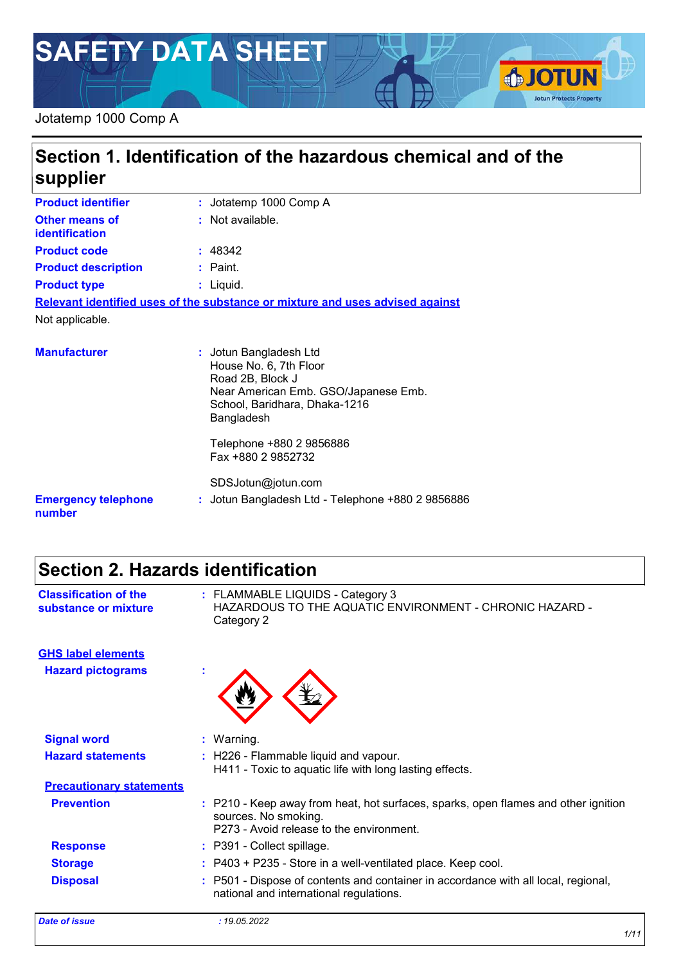# **SAFETY DATA SHEET**

#### Jotatemp 1000 Comp A

## **Section 1. Identification of the hazardous chemical and of the supplier**

| <b>Product identifier</b>                      | : Jotatemp 1000 Comp A                                                                                       |
|------------------------------------------------|--------------------------------------------------------------------------------------------------------------|
| <b>Other means of</b><br><b>identification</b> | : Not available.                                                                                             |
| <b>Product code</b>                            | : 48342                                                                                                      |
| <b>Product description</b>                     | $:$ Paint.                                                                                                   |
| <b>Product type</b>                            | : Liguid.                                                                                                    |
|                                                | Relevant identified uses of the substance or mixture and uses advised against                                |
| Not applicable.                                |                                                                                                              |
| <b>Manufacturer</b>                            | : Jotun Bangladesh Ltd<br>House No. 6, 7th Floor<br>Road 2B, Block J<br>Near American Emb. GSO/Japanese Emb. |

**Emergency telephone number :** Jotun Bangladesh Ltd - Telephone +880 2 9856886 Bangladesh Telephone +880 2 9856886 Fax +880 2 9852732 SDSJotun@jotun.com

School, Baridhara, Dhaka-1216

## **Section 2. Hazards identification**

**GHS label elements**

| <b>Classification of the</b> | : FLAMMABLE LIQUIDS - Category 3                                      |
|------------------------------|-----------------------------------------------------------------------|
| substance or mixture         | HAZARDOUS TO THE AQUATIC ENVIRONMENT - CHRONIC HAZARD -<br>Category 2 |
|                              |                                                                       |

| <b>Hazard pictograms</b>        | ٠                                                                                                                                                      |
|---------------------------------|--------------------------------------------------------------------------------------------------------------------------------------------------------|
| <b>Signal word</b>              | : Warning.                                                                                                                                             |
| <b>Hazard statements</b>        | : H226 - Flammable liquid and vapour.<br>H411 - Toxic to aquatic life with long lasting effects.                                                       |
| <b>Precautionary statements</b> |                                                                                                                                                        |
| <b>Prevention</b>               | : P210 - Keep away from heat, hot surfaces, sparks, open flames and other ignition<br>sources. No smoking.<br>P273 - Avoid release to the environment. |
| <b>Response</b>                 | : P391 - Collect spillage.                                                                                                                             |
| <b>Storage</b>                  | : P403 + P235 - Store in a well-ventilated place. Keep cool.                                                                                           |
| <b>Disposal</b>                 | : P501 - Dispose of contents and container in accordance with all local, regional,<br>national and international regulations.                          |
| Date of issue                   | : 19.05.2022                                                                                                                                           |

**SJOTUN** 

**Jotun Protects Property**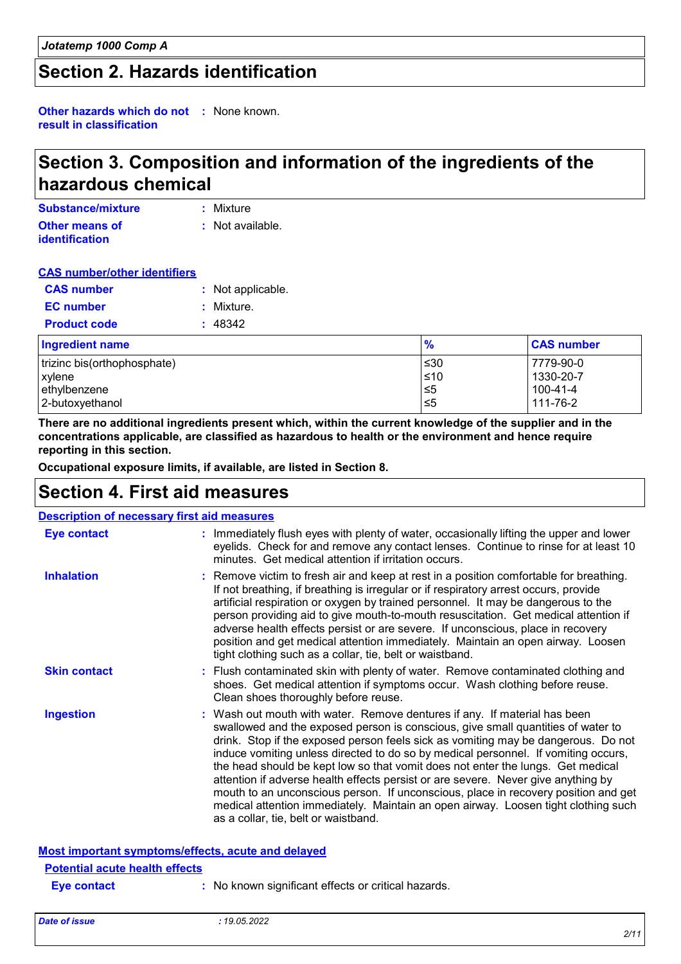## **Section 2. Hazards identification**

**Other hazards which do not :** None known. **result in classification**

## **Section 3. Composition and information of the ingredients of the hazardous chemical**

| Substance/mixture     | : Mixture        |
|-----------------------|------------------|
| <b>Other means of</b> | : Not available. |
| <b>identification</b> |                  |

#### **CAS number/other identifiers**

| <b>CAS number</b>      | : Not applicable. |
|------------------------|-------------------|
| <b>EC</b> number       | : Mixture.        |
| <b>Product code</b>    | : 48342           |
| <b>Ingradiant nama</b> |                   |

| <b>Ingredient name</b>      | %         | <b>CAS number</b> |
|-----------------------------|-----------|-------------------|
| trizinc bis(orthophosphate) | 530       | 7779-90-0         |
| xylene                      | $\leq 10$ | 1330-20-7         |
| ethylbenzene                | 5≤ا       | 100-41-4          |
| 2-butoxyethanol             | 1≤5       | 111-76-2          |

**There are no additional ingredients present which, within the current knowledge of the supplier and in the concentrations applicable, are classified as hazardous to health or the environment and hence require reporting in this section.**

**Occupational exposure limits, if available, are listed in Section 8.**

### **Section 4. First aid measures**

| <b>Description of necessary first aid measures</b> |                                                                                                                                                                                                                                                                                                                                                                                                                                                                                                                                                                                                                                                                                                                                      |
|----------------------------------------------------|--------------------------------------------------------------------------------------------------------------------------------------------------------------------------------------------------------------------------------------------------------------------------------------------------------------------------------------------------------------------------------------------------------------------------------------------------------------------------------------------------------------------------------------------------------------------------------------------------------------------------------------------------------------------------------------------------------------------------------------|
| <b>Eye contact</b>                                 | : Immediately flush eyes with plenty of water, occasionally lifting the upper and lower<br>eyelids. Check for and remove any contact lenses. Continue to rinse for at least 10<br>minutes. Get medical attention if irritation occurs.                                                                                                                                                                                                                                                                                                                                                                                                                                                                                               |
| <b>Inhalation</b>                                  | : Remove victim to fresh air and keep at rest in a position comfortable for breathing.<br>If not breathing, if breathing is irregular or if respiratory arrest occurs, provide<br>artificial respiration or oxygen by trained personnel. It may be dangerous to the<br>person providing aid to give mouth-to-mouth resuscitation. Get medical attention if<br>adverse health effects persist or are severe. If unconscious, place in recovery<br>position and get medical attention immediately. Maintain an open airway. Loosen<br>tight clothing such as a collar, tie, belt or waistband.                                                                                                                                         |
| <b>Skin contact</b>                                | : Flush contaminated skin with plenty of water. Remove contaminated clothing and<br>shoes. Get medical attention if symptoms occur. Wash clothing before reuse.<br>Clean shoes thoroughly before reuse.                                                                                                                                                                                                                                                                                                                                                                                                                                                                                                                              |
| <b>Ingestion</b>                                   | : Wash out mouth with water. Remove dentures if any. If material has been<br>swallowed and the exposed person is conscious, give small quantities of water to<br>drink. Stop if the exposed person feels sick as vomiting may be dangerous. Do not<br>induce vomiting unless directed to do so by medical personnel. If vomiting occurs,<br>the head should be kept low so that vomit does not enter the lungs. Get medical<br>attention if adverse health effects persist or are severe. Never give anything by<br>mouth to an unconscious person. If unconscious, place in recovery position and get<br>medical attention immediately. Maintain an open airway. Loosen tight clothing such<br>as a collar, tie, belt or waistband. |
| Most important symptoms/effects, acute and delayed |                                                                                                                                                                                                                                                                                                                                                                                                                                                                                                                                                                                                                                                                                                                                      |
| <b>Potential acute health effects</b>              |                                                                                                                                                                                                                                                                                                                                                                                                                                                                                                                                                                                                                                                                                                                                      |
| <b>Eve contact</b>                                 | : No known significant effects or critical hazards.                                                                                                                                                                                                                                                                                                                                                                                                                                                                                                                                                                                                                                                                                  |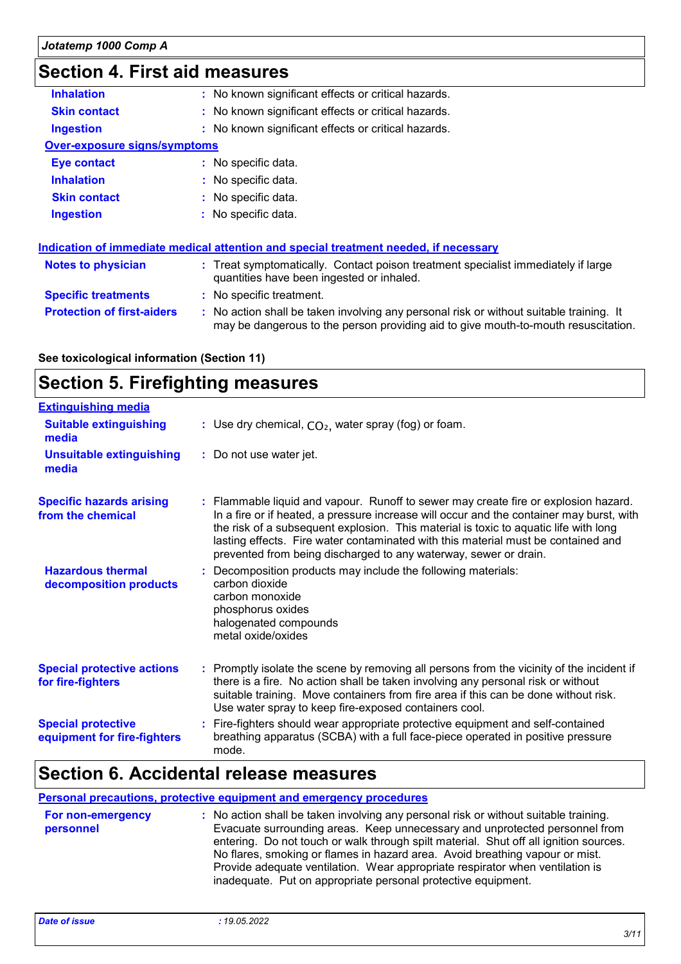## **Section 4. First aid measures**

| <b>Inhalation</b>                   | : No known significant effects or critical hazards.                                                                                                                           |
|-------------------------------------|-------------------------------------------------------------------------------------------------------------------------------------------------------------------------------|
| <b>Skin contact</b>                 | : No known significant effects or critical hazards.                                                                                                                           |
| <b>Ingestion</b>                    | : No known significant effects or critical hazards.                                                                                                                           |
| <b>Over-exposure signs/symptoms</b> |                                                                                                                                                                               |
| Eye contact                         | : No specific data.                                                                                                                                                           |
| <b>Inhalation</b>                   | : No specific data.                                                                                                                                                           |
| <b>Skin contact</b>                 | : No specific data.                                                                                                                                                           |
| <b>Ingestion</b>                    | : No specific data.                                                                                                                                                           |
|                                     | Indication of immediate medical attention and special treatment needed, if necessary                                                                                          |
| <b>Notes to physician</b>           | : Treat symptomatically. Contact poison treatment specialist immediately if large<br>quantities have been ingested or inhaled.                                                |
| <b>Specific treatments</b>          | : No specific treatment.                                                                                                                                                      |
| <b>Protection of first-aiders</b>   | : No action shall be taken involving any personal risk or without suitable training. It<br>may be dangerous to the person providing aid to give mouth-to-mouth resuscitation. |

**See toxicological information (Section 11)**

## **Section 5. Firefighting measures**

| <b>Extinguishing media</b>                               |                                                                                                                                                                                                                                                                                                                                                                                                                                  |
|----------------------------------------------------------|----------------------------------------------------------------------------------------------------------------------------------------------------------------------------------------------------------------------------------------------------------------------------------------------------------------------------------------------------------------------------------------------------------------------------------|
| <b>Suitable extinguishing</b><br>media                   | : Use dry chemical, $CO2$ , water spray (fog) or foam.                                                                                                                                                                                                                                                                                                                                                                           |
| <b>Unsuitable extinguishing</b><br>media                 | : Do not use water jet.                                                                                                                                                                                                                                                                                                                                                                                                          |
| <b>Specific hazards arising</b><br>from the chemical     | : Flammable liquid and vapour. Runoff to sewer may create fire or explosion hazard.<br>In a fire or if heated, a pressure increase will occur and the container may burst, with<br>the risk of a subsequent explosion. This material is toxic to aquatic life with long<br>lasting effects. Fire water contaminated with this material must be contained and<br>prevented from being discharged to any waterway, sewer or drain. |
| <b>Hazardous thermal</b><br>decomposition products       | Decomposition products may include the following materials:<br>carbon dioxide<br>carbon monoxide<br>phosphorus oxides<br>halogenated compounds<br>metal oxide/oxides                                                                                                                                                                                                                                                             |
| <b>Special protective actions</b><br>for fire-fighters   | : Promptly isolate the scene by removing all persons from the vicinity of the incident if<br>there is a fire. No action shall be taken involving any personal risk or without<br>suitable training. Move containers from fire area if this can be done without risk.<br>Use water spray to keep fire-exposed containers cool.                                                                                                    |
| <b>Special protective</b><br>equipment for fire-fighters | : Fire-fighters should wear appropriate protective equipment and self-contained<br>breathing apparatus (SCBA) with a full face-piece operated in positive pressure<br>mode.                                                                                                                                                                                                                                                      |

### **Section 6. Accidental release measures**

#### **Personal precautions, protective equipment and emergency procedures**

| For non-emergency<br>personnel | : No action shall be taken involving any personal risk or without suitable training.<br>Evacuate surrounding areas. Keep unnecessary and unprotected personnel from<br>entering. Do not touch or walk through spilt material. Shut off all ignition sources.<br>No flares, smoking or flames in hazard area. Avoid breathing vapour or mist.<br>Provide adequate ventilation. Wear appropriate respirator when ventilation is |
|--------------------------------|-------------------------------------------------------------------------------------------------------------------------------------------------------------------------------------------------------------------------------------------------------------------------------------------------------------------------------------------------------------------------------------------------------------------------------|
|                                | inadequate. Put on appropriate personal protective equipment.                                                                                                                                                                                                                                                                                                                                                                 |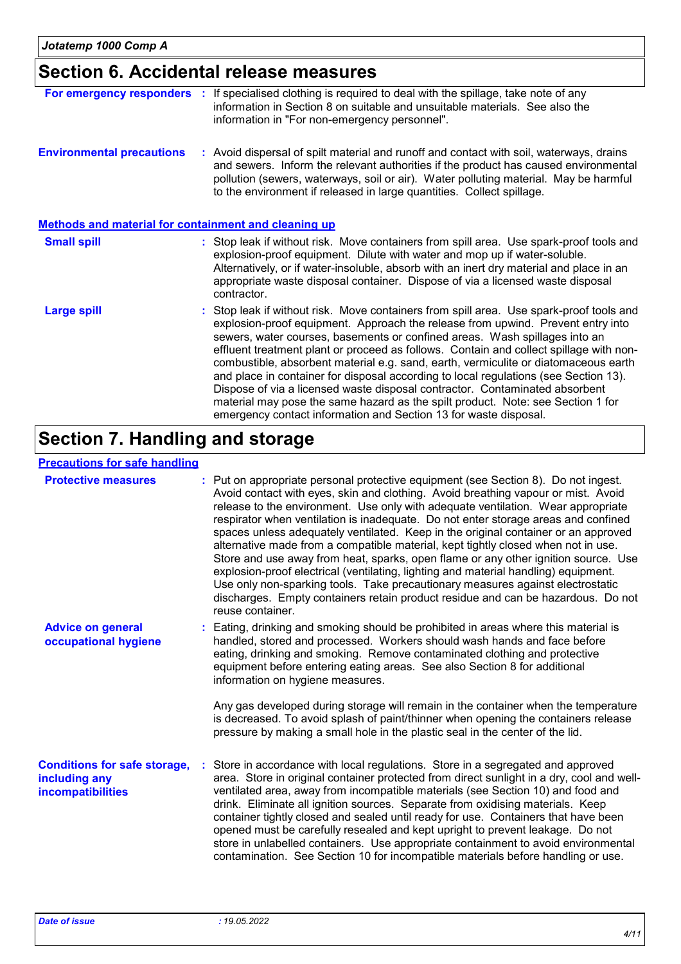## **Section 6. Accidental release measures**

| For emergency responders                                    | If specialised clothing is required to deal with the spillage, take note of any<br>information in Section 8 on suitable and unsuitable materials. See also the<br>information in "For non-emergency personnel".                                                                                                                                                                                                                                                                                                                                                                                                                                                                                                                                                         |
|-------------------------------------------------------------|-------------------------------------------------------------------------------------------------------------------------------------------------------------------------------------------------------------------------------------------------------------------------------------------------------------------------------------------------------------------------------------------------------------------------------------------------------------------------------------------------------------------------------------------------------------------------------------------------------------------------------------------------------------------------------------------------------------------------------------------------------------------------|
| <b>Environmental precautions</b>                            | : Avoid dispersal of spilt material and runoff and contact with soil, waterways, drains<br>and sewers. Inform the relevant authorities if the product has caused environmental<br>pollution (sewers, waterways, soil or air). Water polluting material. May be harmful<br>to the environment if released in large quantities. Collect spillage.                                                                                                                                                                                                                                                                                                                                                                                                                         |
| <b>Methods and material for containment and cleaning up</b> |                                                                                                                                                                                                                                                                                                                                                                                                                                                                                                                                                                                                                                                                                                                                                                         |
| <b>Small spill</b>                                          | : Stop leak if without risk. Move containers from spill area. Use spark-proof tools and<br>explosion-proof equipment. Dilute with water and mop up if water-soluble.<br>Alternatively, or if water-insoluble, absorb with an inert dry material and place in an<br>appropriate waste disposal container. Dispose of via a licensed waste disposal<br>contractor.                                                                                                                                                                                                                                                                                                                                                                                                        |
| <b>Large spill</b>                                          | : Stop leak if without risk. Move containers from spill area. Use spark-proof tools and<br>explosion-proof equipment. Approach the release from upwind. Prevent entry into<br>sewers, water courses, basements or confined areas. Wash spillages into an<br>effluent treatment plant or proceed as follows. Contain and collect spillage with non-<br>combustible, absorbent material e.g. sand, earth, vermiculite or diatomaceous earth<br>and place in container for disposal according to local regulations (see Section 13).<br>Dispose of via a licensed waste disposal contractor. Contaminated absorbent<br>material may pose the same hazard as the spilt product. Note: see Section 1 for<br>emergency contact information and Section 13 for waste disposal. |

## **Section 7. Handling and storage**

### **Precautions for safe handling**

| <b>Protective measures</b>                                                       | : Put on appropriate personal protective equipment (see Section 8). Do not ingest.<br>Avoid contact with eyes, skin and clothing. Avoid breathing vapour or mist. Avoid<br>release to the environment. Use only with adequate ventilation. Wear appropriate<br>respirator when ventilation is inadequate. Do not enter storage areas and confined<br>spaces unless adequately ventilated. Keep in the original container or an approved<br>alternative made from a compatible material, kept tightly closed when not in use.<br>Store and use away from heat, sparks, open flame or any other ignition source. Use<br>explosion-proof electrical (ventilating, lighting and material handling) equipment.<br>Use only non-sparking tools. Take precautionary measures against electrostatic<br>discharges. Empty containers retain product residue and can be hazardous. Do not<br>reuse container. |
|----------------------------------------------------------------------------------|-----------------------------------------------------------------------------------------------------------------------------------------------------------------------------------------------------------------------------------------------------------------------------------------------------------------------------------------------------------------------------------------------------------------------------------------------------------------------------------------------------------------------------------------------------------------------------------------------------------------------------------------------------------------------------------------------------------------------------------------------------------------------------------------------------------------------------------------------------------------------------------------------------|
| <b>Advice on general</b><br>occupational hygiene                                 | : Eating, drinking and smoking should be prohibited in areas where this material is<br>handled, stored and processed. Workers should wash hands and face before<br>eating, drinking and smoking. Remove contaminated clothing and protective<br>equipment before entering eating areas. See also Section 8 for additional<br>information on hygiene measures.<br>Any gas developed during storage will remain in the container when the temperature                                                                                                                                                                                                                                                                                                                                                                                                                                                 |
|                                                                                  | is decreased. To avoid splash of paint/thinner when opening the containers release<br>pressure by making a small hole in the plastic seal in the center of the lid.                                                                                                                                                                                                                                                                                                                                                                                                                                                                                                                                                                                                                                                                                                                                 |
| <b>Conditions for safe storage,</b><br>including any<br><b>incompatibilities</b> | Store in accordance with local regulations. Store in a segregated and approved<br>area. Store in original container protected from direct sunlight in a dry, cool and well-<br>ventilated area, away from incompatible materials (see Section 10) and food and<br>drink. Eliminate all ignition sources. Separate from oxidising materials. Keep<br>container tightly closed and sealed until ready for use. Containers that have been<br>opened must be carefully resealed and kept upright to prevent leakage. Do not<br>store in unlabelled containers. Use appropriate containment to avoid environmental<br>contamination. See Section 10 for incompatible materials before handling or use.                                                                                                                                                                                                   |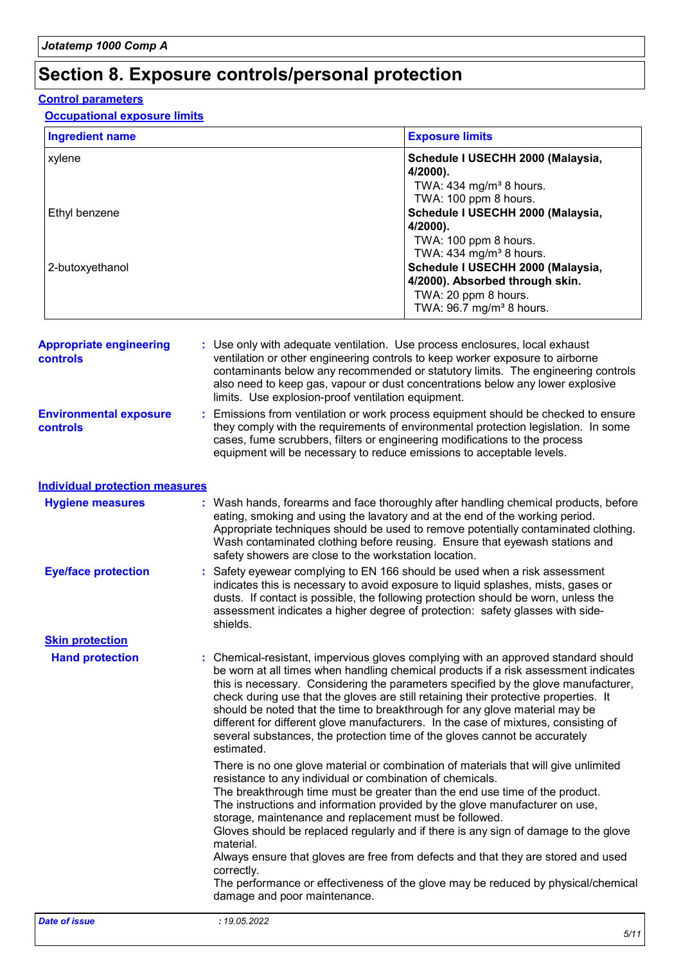## **Section 8. Exposure controls/personal protection**

#### **Control parameters**

| <b>Ingredient name</b>                     |                                                                                                                                                                                                                                                                                                                               | <b>Exposure limits</b>                                                                                                                                                                                                                                                                                                                                                                                                                                                                                                                                                                                      |  |  |
|--------------------------------------------|-------------------------------------------------------------------------------------------------------------------------------------------------------------------------------------------------------------------------------------------------------------------------------------------------------------------------------|-------------------------------------------------------------------------------------------------------------------------------------------------------------------------------------------------------------------------------------------------------------------------------------------------------------------------------------------------------------------------------------------------------------------------------------------------------------------------------------------------------------------------------------------------------------------------------------------------------------|--|--|
| xylene<br>Ethyl benzene<br>2-butoxyethanol |                                                                                                                                                                                                                                                                                                                               | Schedule I USECHH 2000 (Malaysia,<br>4/2000).<br>TWA: 434 mg/m <sup>3</sup> 8 hours.                                                                                                                                                                                                                                                                                                                                                                                                                                                                                                                        |  |  |
|                                            |                                                                                                                                                                                                                                                                                                                               | TWA: 100 ppm 8 hours.<br>Schedule I USECHH 2000 (Malaysia,<br>4/2000).<br>TWA: 100 ppm 8 hours.                                                                                                                                                                                                                                                                                                                                                                                                                                                                                                             |  |  |
|                                            |                                                                                                                                                                                                                                                                                                                               | TWA: 434 mg/m <sup>3</sup> 8 hours.<br>Schedule I USECHH 2000 (Malaysia,<br>4/2000). Absorbed through skin.<br>TWA: 20 ppm 8 hours.<br>TWA: 96.7 mg/m <sup>3</sup> 8 hours.                                                                                                                                                                                                                                                                                                                                                                                                                                 |  |  |
| <b>Appropriate engineering</b><br>controls |                                                                                                                                                                                                                                                                                                                               | : Use only with adequate ventilation. Use process enclosures, local exhaust<br>ventilation or other engineering controls to keep worker exposure to airborne<br>contaminants below any recommended or statutory limits. The engineering controls<br>also need to keep gas, vapour or dust concentrations below any lower explosive<br>limits. Use explosion-proof ventilation equipment.                                                                                                                                                                                                                    |  |  |
| <b>Environmental exposure</b><br>controls  | Emissions from ventilation or work process equipment should be checked to ensure<br>they comply with the requirements of environmental protection legislation. In some<br>cases, fume scrubbers, filters or engineering modifications to the process<br>equipment will be necessary to reduce emissions to acceptable levels. |                                                                                                                                                                                                                                                                                                                                                                                                                                                                                                                                                                                                             |  |  |
| <b>Individual protection measures</b>      |                                                                                                                                                                                                                                                                                                                               |                                                                                                                                                                                                                                                                                                                                                                                                                                                                                                                                                                                                             |  |  |
| <b>Hygiene measures</b>                    |                                                                                                                                                                                                                                                                                                                               | : Wash hands, forearms and face thoroughly after handling chemical products, before<br>eating, smoking and using the lavatory and at the end of the working period.<br>Appropriate techniques should be used to remove potentially contaminated clothing.<br>Wash contaminated clothing before reusing. Ensure that eyewash stations and<br>safety showers are close to the workstation location.                                                                                                                                                                                                           |  |  |
| <b>Eye/face protection</b>                 | shields.                                                                                                                                                                                                                                                                                                                      | Safety eyewear complying to EN 166 should be used when a risk assessment<br>indicates this is necessary to avoid exposure to liquid splashes, mists, gases or<br>dusts. If contact is possible, the following protection should be worn, unless the<br>assessment indicates a higher degree of protection: safety glasses with side-                                                                                                                                                                                                                                                                        |  |  |
| <b>Skin protection</b>                     |                                                                                                                                                                                                                                                                                                                               |                                                                                                                                                                                                                                                                                                                                                                                                                                                                                                                                                                                                             |  |  |
| <b>Hand protection</b>                     | estimated.                                                                                                                                                                                                                                                                                                                    | : Chemical-resistant, impervious gloves complying with an approved standard should<br>be worn at all times when handling chemical products if a risk assessment indicates<br>this is necessary. Considering the parameters specified by the glove manufacturer,<br>check during use that the gloves are still retaining their protective properties. It<br>should be noted that the time to breakthrough for any glove material may be<br>different for different glove manufacturers. In the case of mixtures, consisting of<br>several substances, the protection time of the gloves cannot be accurately |  |  |

There is no one glove material or combination of materials that will give unlimited resistance to any individual or combination of chemicals.

The breakthrough time must be greater than the end use time of the product. The instructions and information provided by the glove manufacturer on use, storage, maintenance and replacement must be followed.

Gloves should be replaced regularly and if there is any sign of damage to the glove material.

Always ensure that gloves are free from defects and that they are stored and used correctly.

The performance or effectiveness of the glove may be reduced by physical/chemical damage and poor maintenance.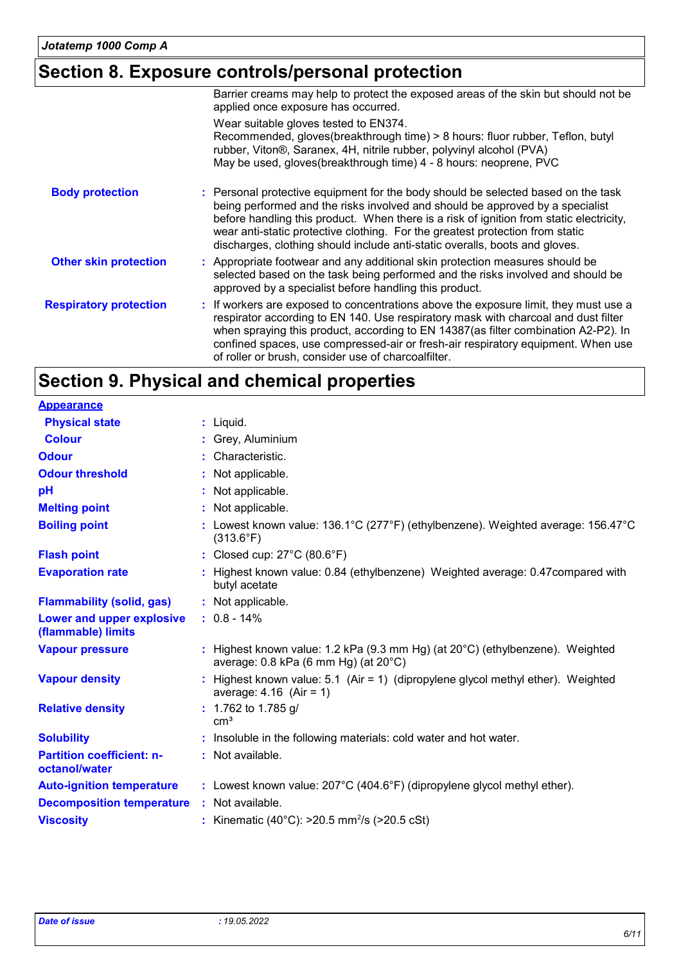## **Section 8. Exposure controls/personal protection**

|                               | Barrier creams may help to protect the exposed areas of the skin but should not be<br>applied once exposure has occurred.                                                                                                                                                                                                                                                                                                     |
|-------------------------------|-------------------------------------------------------------------------------------------------------------------------------------------------------------------------------------------------------------------------------------------------------------------------------------------------------------------------------------------------------------------------------------------------------------------------------|
|                               | Wear suitable gloves tested to EN374.<br>Recommended, gloves(breakthrough time) > 8 hours: fluor rubber, Teflon, butyl<br>rubber, Viton®, Saranex, 4H, nitrile rubber, polyvinyl alcohol (PVA)<br>May be used, gloves(breakthrough time) 4 - 8 hours: neoprene, PVC                                                                                                                                                           |
| <b>Body protection</b>        | : Personal protective equipment for the body should be selected based on the task<br>being performed and the risks involved and should be approved by a specialist<br>before handling this product. When there is a risk of ignition from static electricity,<br>wear anti-static protective clothing. For the greatest protection from static<br>discharges, clothing should include anti-static overalls, boots and gloves. |
| <b>Other skin protection</b>  | : Appropriate footwear and any additional skin protection measures should be<br>selected based on the task being performed and the risks involved and should be<br>approved by a specialist before handling this product.                                                                                                                                                                                                     |
| <b>Respiratory protection</b> | : If workers are exposed to concentrations above the exposure limit, they must use a<br>respirator according to EN 140. Use respiratory mask with charcoal and dust filter<br>when spraying this product, according to EN 14387(as filter combination A2-P2). In<br>confined spaces, use compressed-air or fresh-air respiratory equipment. When use<br>of roller or brush, consider use of charcoalfilter.                   |

## **Section 9. Physical and chemical properties**

| <b>Appearance</b>                                 |                                                                                                                                             |
|---------------------------------------------------|---------------------------------------------------------------------------------------------------------------------------------------------|
| <b>Physical state</b>                             | : Liquid.                                                                                                                                   |
| <b>Colour</b>                                     | : Grey, Aluminium                                                                                                                           |
| <b>Odour</b>                                      | : Characteristic.                                                                                                                           |
| <b>Odour threshold</b>                            | : Not applicable.                                                                                                                           |
| pH                                                | : Not applicable.                                                                                                                           |
| <b>Melting point</b>                              | : Not applicable.                                                                                                                           |
| <b>Boiling point</b>                              | : Lowest known value: 136.1°C (277°F) (ethylbenzene). Weighted average: 156.47°C<br>$(313.6^{\circ}F)$                                      |
| <b>Flash point</b>                                | : Closed cup: $27^{\circ}$ C (80.6 $^{\circ}$ F)                                                                                            |
| <b>Evaporation rate</b>                           | : Highest known value: 0.84 (ethylbenzene) Weighted average: 0.47 compared with<br>butyl acetate                                            |
| <b>Flammability (solid, gas)</b>                  | : Not applicable.                                                                                                                           |
| Lower and upper explosive<br>(flammable) limits   | $: 0.8 - 14\%$                                                                                                                              |
| <b>Vapour pressure</b>                            | : Highest known value: 1.2 kPa (9.3 mm Hg) (at $20^{\circ}$ C) (ethylbenzene). Weighted<br>average: $0.8$ kPa (6 mm Hg) (at $20^{\circ}$ C) |
| <b>Vapour density</b>                             | : Highest known value: 5.1 (Air = 1) (dipropylene glycol methyl ether). Weighted<br>average: $4.16$ (Air = 1)                               |
| <b>Relative density</b>                           | $: 1.762$ to 1.785 g/<br>cm <sup>3</sup>                                                                                                    |
| <b>Solubility</b>                                 | : Insoluble in the following materials: cold water and hot water.                                                                           |
| <b>Partition coefficient: n-</b><br>octanol/water | : Not available.                                                                                                                            |
| <b>Auto-ignition temperature</b>                  | : Lowest known value: $207^{\circ}$ C (404.6°F) (dipropylene glycol methyl ether).                                                          |
| <b>Decomposition temperature</b>                  | : Not available.                                                                                                                            |
| <b>Viscosity</b>                                  | : Kinematic (40°C): $>20.5$ mm <sup>2</sup> /s ( $>20.5$ cSt)                                                                               |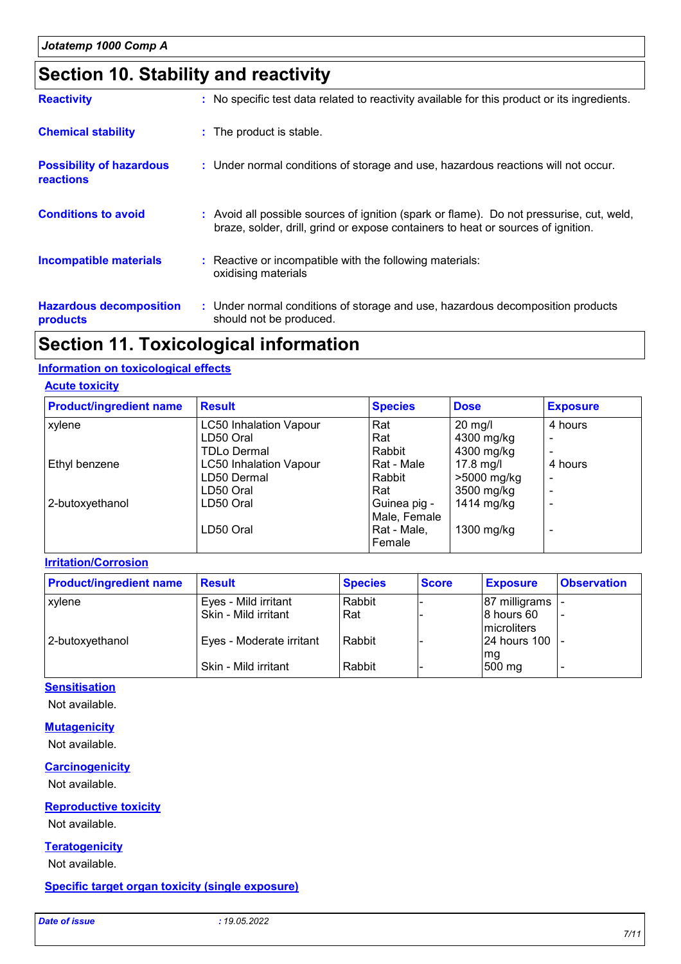## **Section 10. Stability and reactivity**

| <b>Reactivity</b>                            | : No specific test data related to reactivity available for this product or its ingredients.                                                                                 |
|----------------------------------------------|------------------------------------------------------------------------------------------------------------------------------------------------------------------------------|
| <b>Chemical stability</b>                    | : The product is stable.                                                                                                                                                     |
| <b>Possibility of hazardous</b><br>reactions | : Under normal conditions of storage and use, hazardous reactions will not occur.                                                                                            |
| <b>Conditions to avoid</b>                   | : Avoid all possible sources of ignition (spark or flame). Do not pressurise, cut, weld,<br>braze, solder, drill, grind or expose containers to heat or sources of ignition. |
| <b>Incompatible materials</b>                | : Reactive or incompatible with the following materials:<br>oxidising materials                                                                                              |
| <b>Hazardous decomposition</b><br>products   | : Under normal conditions of storage and use, hazardous decomposition products<br>should not be produced.                                                                    |

## **Section 11. Toxicological information**

#### **Information on toxicological effects**

#### **Acute toxicity**

| <b>Product/ingredient name</b> | <b>Result</b>                 | <b>Species</b> | <b>Dose</b> | <b>Exposure</b>          |
|--------------------------------|-------------------------------|----------------|-------------|--------------------------|
| xylene                         | <b>LC50 Inhalation Vapour</b> | Rat            | $20$ mg/l   | 4 hours                  |
|                                | LD50 Oral                     | Rat            | 4300 mg/kg  |                          |
|                                | <b>TDLo Dermal</b>            | Rabbit         | 4300 mg/kg  |                          |
| Ethyl benzene                  | <b>LC50 Inhalation Vapour</b> | Rat - Male     | $17.8$ mg/l | 4 hours                  |
|                                | LD50 Dermal                   | Rabbit         | >5000 mg/kg | $\overline{\phantom{0}}$ |
|                                | LD50 Oral                     | Rat            | 3500 mg/kg  |                          |
| 2-butoxyethanol                | LD50 Oral                     | Guinea pig -   | 1414 mg/kg  |                          |
|                                |                               | Male, Female   |             |                          |
|                                | LD50 Oral                     | Rat - Male,    | 1300 mg/kg  |                          |
|                                |                               | Female         |             |                          |

#### **Irritation/Corrosion**

| <b>Product/ingredient name</b> | Result                   | <b>Species</b> | <b>Score</b> | <b>Exposure</b>     | <b>Observation</b> |
|--------------------------------|--------------------------|----------------|--------------|---------------------|--------------------|
| <b>xylene</b>                  | Eyes - Mild irritant     | Rabbit         |              | 87 milligrams       |                    |
|                                | Skin - Mild irritant     | l Rat          |              | $ 8$ hours 60       |                    |
|                                |                          |                |              | <b>Imicroliters</b> |                    |
| 2-butoxyethanol                | Eyes - Moderate irritant | Rabbit         |              | 124 hours 100 l     |                    |
|                                |                          |                |              | mg                  |                    |
|                                | Skin - Mild irritant     | Rabbit         |              | 500 mg              |                    |

#### **Sensitisation**

Not available.

#### **Mutagenicity**

Not available.

#### **Carcinogenicity**

Not available.

#### **Reproductive toxicity**

Not available.

#### **Teratogenicity**

Not available.

#### **Specific target organ toxicity (single exposure)**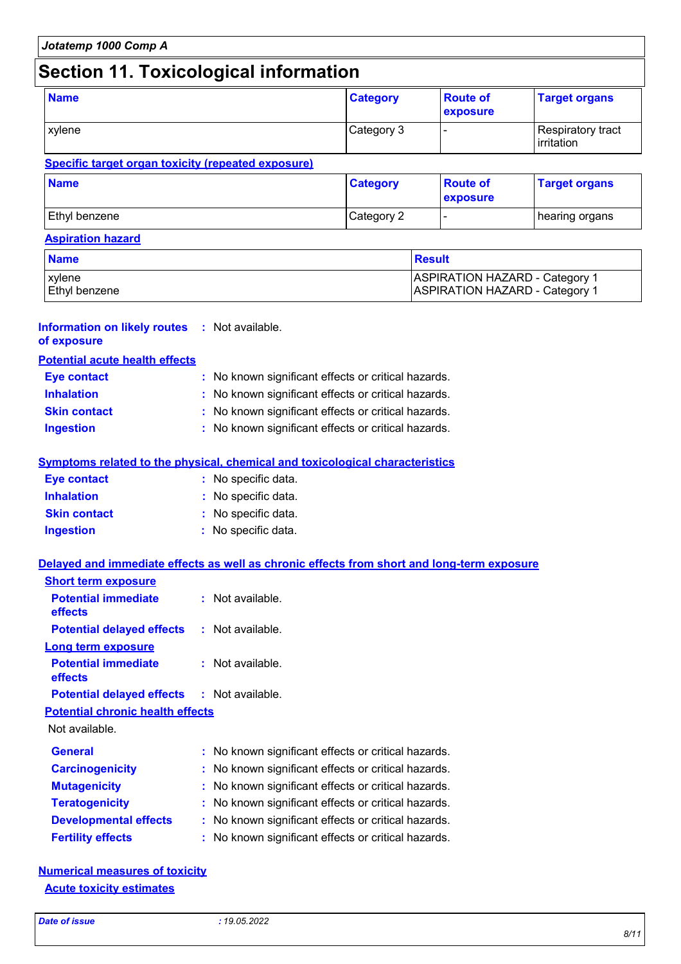## **Section 11. Toxicological information**

| <b>Name</b>                                        | <b>Category</b> | <b>Route of</b><br>exposure | <b>Target organs</b>                   |
|----------------------------------------------------|-----------------|-----------------------------|----------------------------------------|
| <b>xylene</b>                                      | Category 3      |                             | <b>Respiratory tract</b><br>irritation |
| Specific target organ toxicity (repeated exposure) |                 |                             |                                        |

| <b>Name</b>   | <b>Category</b> | <b>Route of</b><br>exposure | <b>Target organs</b> |
|---------------|-----------------|-----------------------------|----------------------|
| Ethyl benzene | Category 2      | . .                         | I hearing organs     |

#### **Aspiration hazard**

| <b>Name</b>          | <b>Besult</b>                         |
|----------------------|---------------------------------------|
| <b>xylene</b>        | <b>ASPIRATION HAZARD - Category 1</b> |
| <b>Ethyl benzene</b> | <b>ASPIRATION HAZARD - Category 1</b> |

#### **Information on likely routes :** Not available. **of exposure**

**Short term exposure**

| <b>Eye contact</b>  | : No known significant effects or critical hazards. |
|---------------------|-----------------------------------------------------|
| <b>Inhalation</b>   | : No known significant effects or critical hazards. |
| <b>Skin contact</b> | : No known significant effects or critical hazards. |
| <b>Ingestion</b>    | : No known significant effects or critical hazards. |

#### **Symptoms related to the physical, chemical and toxicological characteristics**

| <b>Eye contact</b>  | : No specific data. |
|---------------------|---------------------|
| <b>Inhalation</b>   | : No specific data. |
| <b>Skin contact</b> | : No specific data. |
| <b>Ingestion</b>    | : No specific data. |

#### **Delayed and immediate effects as well as chronic effects from short and long-term exposure**

| <b>Potential immediate</b><br>effects             |  | $:$ Not available.                                  |  |
|---------------------------------------------------|--|-----------------------------------------------------|--|
| <b>Potential delayed effects</b>                  |  | $:$ Not available.                                  |  |
| <b>Long term exposure</b>                         |  |                                                     |  |
| <b>Potential immediate</b><br>effects             |  | $:$ Not available.                                  |  |
| <b>Potential delayed effects : Not available.</b> |  |                                                     |  |
| <b>Potential chronic health effects</b>           |  |                                                     |  |
| Not available.                                    |  |                                                     |  |
| <b>General</b>                                    |  | : No known significant effects or critical hazards. |  |
| <b>Carcinogenicity</b>                            |  | : No known significant effects or critical hazards. |  |
| <b>Mutagenicity</b>                               |  | : No known significant effects or critical hazards. |  |
| <b>Teratogenicity</b>                             |  | : No known significant effects or critical hazards. |  |
|                                                   |  |                                                     |  |
| <b>Developmental effects</b>                      |  | : No known significant effects or critical hazards. |  |

#### **Numerical measures of toxicity Acute toxicity estimates**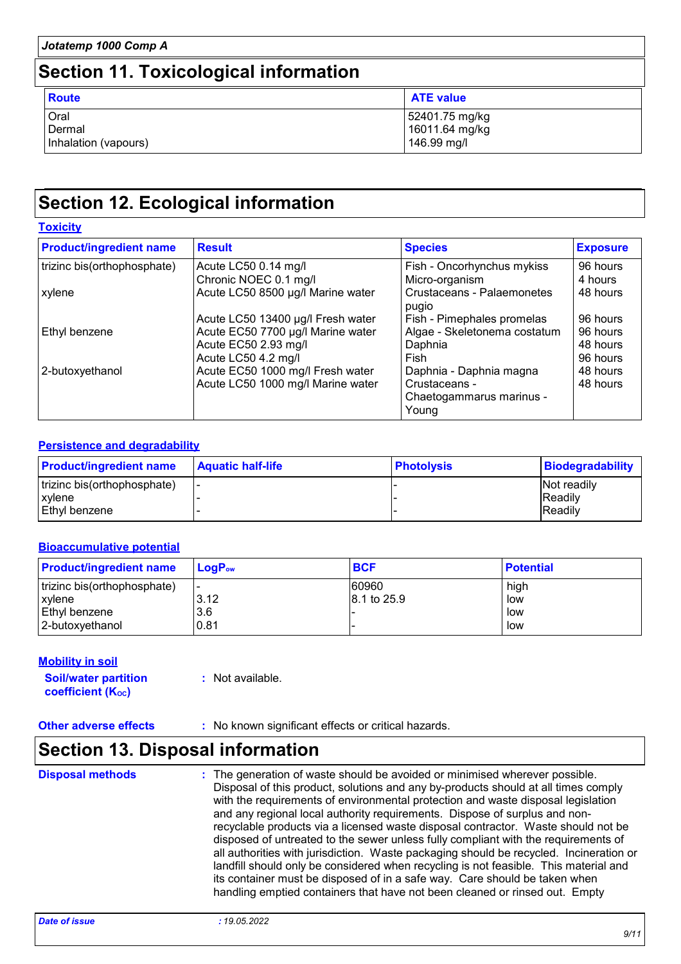| Jotatemp 1000 Comp A<br><b>Section 11. Toxicological information</b> |                                        |                                                 |
|----------------------------------------------------------------------|----------------------------------------|-------------------------------------------------|
|                                                                      |                                        |                                                 |
|                                                                      | Oral<br>Dermal<br>Inhalation (vapours) | 52401.75 mg/kg<br>16011.64 mg/kg<br>146.99 mg/l |

## **Section 12. Ecological information**

| <b>Toxicity</b>                |                                   |                                                    |                 |
|--------------------------------|-----------------------------------|----------------------------------------------------|-----------------|
| <b>Product/ingredient name</b> | <b>Result</b>                     | <b>Species</b>                                     | <b>Exposure</b> |
| trizinc bis(orthophosphate)    | Acute LC50 0.14 mg/l              | Fish - Oncorhynchus mykiss                         | 96 hours        |
|                                | Chronic NOEC 0.1 mg/l             | Micro-organism                                     | 4 hours         |
| xylene                         | Acute LC50 8500 µg/l Marine water | Crustaceans - Palaemonetes<br>pugio                | 48 hours        |
|                                | Acute LC50 13400 µg/l Fresh water | Fish - Pimephales promelas                         | 96 hours        |
| Ethyl benzene                  | Acute EC50 7700 µg/l Marine water | Algae - Skeletonema costatum                       | 96 hours        |
|                                | Acute EC50 2.93 mg/l              | Daphnia                                            | 48 hours        |
|                                | Acute LC50 4.2 mg/l               | Fish                                               | 96 hours        |
| 2-butoxyethanol                | Acute EC50 1000 mg/l Fresh water  | Daphnia - Daphnia magna                            | 48 hours        |
|                                | Acute LC50 1000 mg/l Marine water | Crustaceans -<br>Chaetogammarus marinus -<br>Young | 48 hours        |

#### **Persistence and degradability**

| <b>Product/ingredient name</b> | <b>Aquatic half-life</b> | <b>Photolysis</b> | <b>Biodegradability</b> |
|--------------------------------|--------------------------|-------------------|-------------------------|
| trizinc bis(orthophosphate)    | . .                      |                   | <b>Not readily</b>      |
| xylene                         |                          |                   | <b>IReadily</b>         |
| Ethyl benzene                  |                          |                   | <b>IReadily</b>         |

#### **Bioaccumulative potential**

| <b>Product/ingredient name</b> | $LoaPow$ | <b>BCF</b>  | <b>Potential</b> |
|--------------------------------|----------|-------------|------------------|
| trizinc bis(orthophosphate)    | <u>.</u> | 60960       | high             |
| xylene                         | 3.12     | 8.1 to 25.9 | low              |
| Ethyl benzene                  | 3.6      |             | low              |
| l 2-butoxvethanol              | 0.81     |             | low              |

#### **Mobility in soil**

**Soil/water partition coefficient (Koc) :** Not available.

**Other adverse effects** : No known significant effects or critical hazards.

## **Section 13. Disposal information**

**Disposal methods :**

The generation of waste should be avoided or minimised wherever possible. Disposal of this product, solutions and any by-products should at all times comply with the requirements of environmental protection and waste disposal legislation and any regional local authority requirements. Dispose of surplus and nonrecyclable products via a licensed waste disposal contractor. Waste should not be disposed of untreated to the sewer unless fully compliant with the requirements of all authorities with jurisdiction. Waste packaging should be recycled. Incineration or landfill should only be considered when recycling is not feasible. This material and its container must be disposed of in a safe way. Care should be taken when handling emptied containers that have not been cleaned or rinsed out. Empty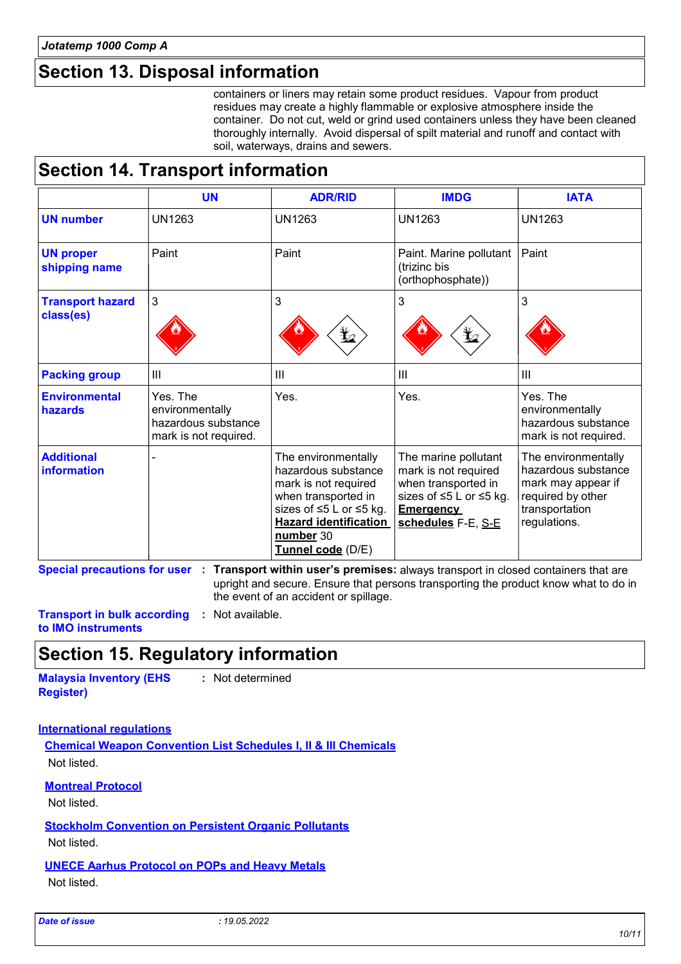## **Section 13. Disposal information**

containers or liners may retain some product residues. Vapour from product residues may create a highly flammable or explosive atmosphere inside the container. Do not cut, weld or grind used containers unless they have been cleaned thoroughly internally. Avoid dispersal of spilt material and runoff and contact with soil, waterways, drains and sewers.

## **Section 14. Transport information**

|                                      | <b>UN</b>                                                                   | <b>ADR/RID</b>                                                                                                                                                                         | <b>IMDG</b>                                                                                                                              | <b>IATA</b>                                                                                                             |
|--------------------------------------|-----------------------------------------------------------------------------|----------------------------------------------------------------------------------------------------------------------------------------------------------------------------------------|------------------------------------------------------------------------------------------------------------------------------------------|-------------------------------------------------------------------------------------------------------------------------|
| <b>UN number</b>                     | <b>UN1263</b>                                                               | UN1263                                                                                                                                                                                 | <b>UN1263</b>                                                                                                                            | <b>UN1263</b>                                                                                                           |
| <b>UN proper</b><br>shipping name    | Paint                                                                       | Paint                                                                                                                                                                                  | Paint. Marine pollutant<br>(trizinc bis<br>(orthophosphate))                                                                             | Paint                                                                                                                   |
| <b>Transport hazard</b><br>class(es) | 3                                                                           | 3<br>I,                                                                                                                                                                                | 3<br>⊁∠                                                                                                                                  | 3                                                                                                                       |
| <b>Packing group</b>                 | III                                                                         | Ш                                                                                                                                                                                      | III                                                                                                                                      | Ш                                                                                                                       |
| <b>Environmental</b><br>hazards      | Yes. The<br>environmentally<br>hazardous substance<br>mark is not required. | Yes.                                                                                                                                                                                   | Yes.                                                                                                                                     | Yes. The<br>environmentally<br>hazardous substance<br>mark is not required.                                             |
| <b>Additional</b><br>information     |                                                                             | The environmentally<br>hazardous substance<br>mark is not required<br>when transported in<br>sizes of ≤5 L or ≤5 kg.<br><b>Hazard identification</b><br>number 30<br>Tunnel code (D/E) | The marine pollutant<br>mark is not required<br>when transported in<br>sizes of ≤5 L or ≤5 kg.<br><b>Emergency</b><br>schedules F-E, S-E | The environmentally<br>hazardous substance<br>mark may appear if<br>required by other<br>transportation<br>regulations. |

**Special precautions for user Transport within user's premises:** always transport in closed containers that are **:** upright and secure. Ensure that persons transporting the product know what to do in the event of an accident or spillage.

**Transport in bulk according :** Not available. **to IMO instruments**

## **Section 15. Regulatory information**

**Malaysia Inventory (EHS Register) :** Not determined

#### **International regulations**

**Chemical Weapon Convention List Schedules I, II & III Chemicals** Not listed.

**Montreal Protocol**

Not listed.

**Stockholm Convention on Persistent Organic Pollutants** Not listed.

**UNECE Aarhus Protocol on POPs and Heavy Metals** Not listed.